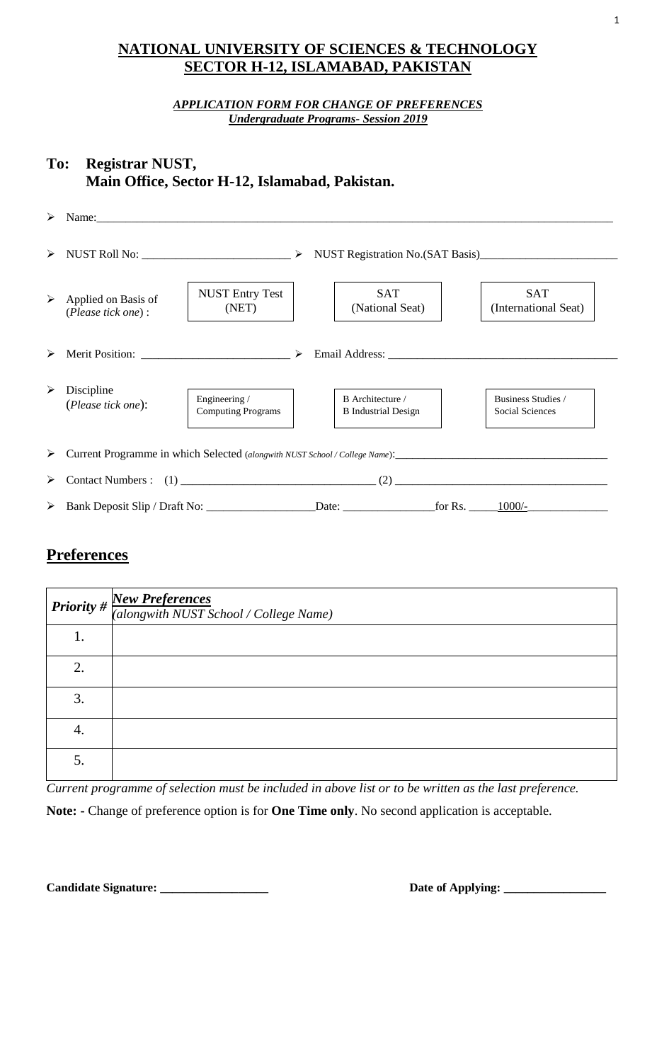## **NATIONAL UNIVERSITY OF SCIENCES & TECHNOLOGY SECTOR H-12, ISLAMABAD, PAKISTAN**

### *APPLICATION FORM FOR CHANGE OF PREFERENCES Undergraduate Programs- Session 2019*

## **To: Registrar NUST, Main Office, Sector H-12, Islamabad, Pakistan.**

| $\blacktriangleright$ | Name: 2008. 2008. 2010. 2010. 2010. 2010. 2010. 2010. 2010. 2010. 2010. 2010. 2010. 2010. 2010. 2010. 2010. 20 |                                            |  |                                                |  |                                       |  |
|-----------------------|----------------------------------------------------------------------------------------------------------------|--------------------------------------------|--|------------------------------------------------|--|---------------------------------------|--|
| ➤                     |                                                                                                                |                                            |  |                                                |  |                                       |  |
| ➤                     | Applied on Basis of<br>(Please tick one):                                                                      | <b>NUST Entry Test</b><br>(NET)            |  | <b>SAT</b><br>(National Seat)                  |  | <b>SAT</b><br>(International Seat)    |  |
| ➤                     | Merit Position: $\frac{1}{2}$ $\rightarrow$                                                                    |                                            |  |                                                |  |                                       |  |
| ≻                     | Discipline<br>(Please tick one):                                                                               | Engineering /<br><b>Computing Programs</b> |  | B Architecture /<br><b>B</b> Industrial Design |  | Business Studies /<br>Social Sciences |  |
| ➤                     |                                                                                                                |                                            |  |                                                |  |                                       |  |
| ➤                     |                                                                                                                |                                            |  |                                                |  |                                       |  |
| ➤                     |                                                                                                                |                                            |  |                                                |  |                                       |  |

## **Preferences**

|    | <b>Priority</b> # $\frac{New Preferences}{(along with NUST School / College Name)}$ |
|----|-------------------------------------------------------------------------------------|
| 1. |                                                                                     |
| 2. |                                                                                     |
| 3. |                                                                                     |
| 4. |                                                                                     |
| 5. |                                                                                     |

*Current programme of selection must be included in above list or to be written as the last preference.*

**Note: -** Change of preference option is for **One Time only**. No second application is acceptable.

**Candidate Signature: \_\_\_\_\_\_\_\_\_\_\_\_\_\_\_\_\_\_ Date of Applying: \_\_\_\_\_\_\_\_\_\_\_\_\_\_\_\_\_**